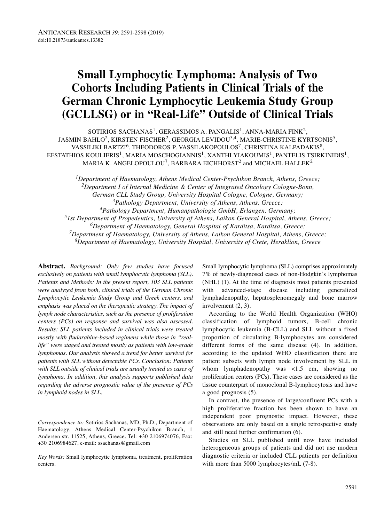# **Small Lymphocytic Lymphoma: Analysis of Two Cohorts Including Patients in Clinical Trials of the German Chronic Lymphocytic Leukemia Study Group (GCLLSG) or in "Real-Life" Outside of Clinical Trials**

SOTIRIOS SACHANAS<sup>1</sup>, GERASSIMOS A. PANGALIS<sup>1</sup>, ANNA-MARIA FINK<sup>2</sup>, JASMIN BAHLO<sup>2</sup>, KIRSTEN FISCHER<sup>2</sup>, GEORGIA LEVIDOU<sup>3,4</sup>, MARIE-CHRISTINE KYRTSONIS<sup>5</sup>, VASSILIKI BARTZI $^6$ , THEODOROS P. VASSILAKOPOULOS $^7$ , CHRISTINA KALPADAKIS $^8$ , EFSTATHIOS KOULIERIS<sup>1</sup>, MARIA MOSCHOGIANNIS<sup>1</sup>, XANTHI YIAKOUMIS<sup>1</sup>, PANTELIS TSIRKINIDIS<sup>1</sup>, MARIA K. ANGELOPOULOU<sup>7</sup>, BARBARA EICHHORST<sup>2</sup> and MICHAEL HALLEK<sup>2</sup>

*1Department of Haematology, Athens Medical Center-Psychikon Branch, Athens, Greece; 2Department I of Internal Medicine & Center of Integrated Oncology Cologne-Bonn, German CLL Study Group, University Hospital Cologne, Cologne, Germany; 3Pathology Department, University of Athens, Athens, Greece; 4Pathology Department, Humanpathologie GmbH, Erlangen, Germany; 51st Department of Propedeutics, University of Athens, Laikon General Hospital, Athens, Greece; 6Department of Haematology, General Hospital of Karditsa, Karditsa, Greece; 7Department of Haematology, University of Athens, Laikon General Hospital, Athens, Greece; 8Department of Haematology, University Hospital, University of Crete, Heraklion, Greece*

**Abstract.** *Background: Only few studies have focused exclusively on patients with small lymphocytic lymphoma (SLL). Patients and Methods: In the present report, 103 SLL patients were analyzed from both, clinical trials of the German Chronic Lymphocytic Leukemia Study Group and Greek centers, and emphasis was placed on the therapeutic strategy. The impact of lymph node characteristics, such as the presence of proliferation centers (PCs) on response and survival was also assessed. Results: SLL patients included in clinical trials were treated mostly with fludarabine-based regimens while those in "reallife" were staged and treated mostly as patients with low-grade lymphomas. Our analysis showed a trend for better survival for patients with SLL without detectable PCs. Conclusion: Patients with SLL outside of clinical trials are usually treated as cases of lymphoma. In addition, this analysis supports published data regarding the adverse prognostic value of the presence of PCs in lymphoid nodes in SLL.*

*Correspondence to:* Sotirios Sachanas, MD, Ph.D., Department of Haematology, Athens Medical Center-Psychikon Branch, 1 Andersen str. 11525, Athens, Greece. Tel: +30 2106974076, Fax: +30 2106984627, e-mail: ssachanas@gmail.com

*Key Words:* Small lymphocytic lymphoma, treatment, proliferation centers.

Small lymphocytic lymphoma (SLL) comprises approximately 7% of newly-diagnosed cases of non-Hodgkin's lymphomas (NHL) (1). At the time of diagnosis most patients presented with advanced-stage disease including generalized lymphadenopathy, hepatosplenomegaly and bone marrow involvement (2, 3).

According to the World Health Organization (WHO) classification of lymphoid tumors, B-cell chronic lymphocytic leukemia (B-CLL) and SLL without a fixed proportion of circulating B-lymphocytes are considered different forms of the same disease (4). In addition, according to the updated WHO classification there are patient subsets with lymph node involvement by SLL in whom lymphadenopathy was <1.5 cm, showing no proliferation centers (PCs). These cases are considered as the tissue counterpart of monoclonal B-lymphocytosis and have a good prognosis (5).

In contrast, the presence of large/confluent PCs with a high proliferative fraction has been shown to have an independent poor prognostic impact. However, these observations are only based on a single retrospective study and still need further confirmation (6).

Studies on SLL published until now have included heterogeneous groups of patients and did not use modern diagnostic criteria or included CLL patients per definition with more than 5000 lymphocytes/mL  $(7-8)$ .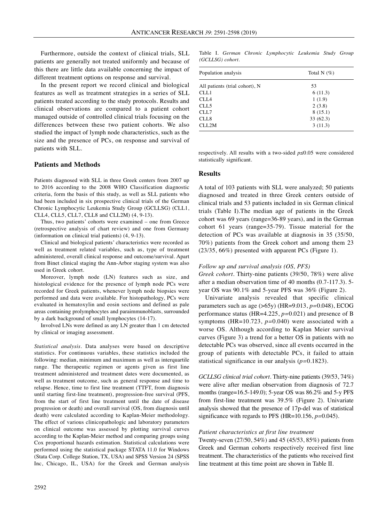Furthermore, outside the context of clinical trials, SLL patients are generally not treated uniformly and because of this there are little data available concerning the impact of different treatment options on response and survival.

In the present report we record clinical and biological features as well as treatment strategies in a series of SLL patients treated according to the study protocols. Results and clinical observations are compared to a patient cohort managed outside of controlled clinical trials focusing on the differences between these two patient cohorts. We also studied the impact of lymph node characteristics, such as the size and the presence of PCs, on response and survival of patients with SLL.

# **Patients and Methods**

Patients diagnosed with SLL in three Greek centers from 2007 up to 2016 according to the 2008 WHO Classification diagnostic criteria, form the basis of this study, as well as SLL patients who had been included in six prospective clinical trials of the German Chronic Lymphocytic Leukemia Study Group (GCLLSG) (CLL1, CLL4, CLL5, CLL7, CLL8 and CLL2M) (4, 9-13).

Thus, two patients' cohorts were examined – one from Greece (retrospective analysis of chart review) and one from Germany (information on clinical trial patients) (4, 9-13).

Clinical and biological patients' characteristics were recorded as well as treatment related variables, such as, type of treatment administered, overall clinical response and outcome/survival. Apart from Binet clinical staging the Ann-Arbor staging system was also used in Greek cohort.

Moreover, lymph node (LN) features such as size, and histological evidence for the presence of lymph node PCs were recorded for Greek patients, whenever lymph node biopsies were performed and data were available. For histopathology, PCs were evaluated in hematoxylin and eosin sections and defined as pale areas containing prolymphocytes and paraimmunoblasts, surrounded by a dark background of small lymphocytes (14-17).

Involved LNs were defined as any LN greater than 1 cm detected by clinical or imaging assessment.

*Statistical analysis.* Data analyses were based on descriptive statistics. For continuous variables, these statistics included the following: median, minimum and maximum as well as interquartile range. The therapeutic regimen or agents given as first line treatment administered and treatment dates were documented, as well as treatment outcome, such as general response and time to relapse. Hence, time to first line treatment (TTFT, from diagnosis until starting first-line treatment), progression-free survival (PFS, from the start of first line treatment until the date of disease progression or death) and overall survival (OS, from diagnosis until death) were calculated according to Kaplan-Meier methodology. The effect of various clinicopathologic and laboratory parameters on clinical outcome was assessed by plotting survival curves according to the Kaplan-Meier method and comparing groups using Cox proportional hazards estimation. Statistical calculations were performed using the statistical package STATA 11.0 for Windows (Stata Corp. College Station, TX, USA) and SPSS Version 24 (SPSS Inc, Chicago, IL, USA) for the Greek and German analysis

Table I. *German Chronic Lymphocytic Leukemia Study Group (GCLLSG) cohort.*

| Population analysis            | Total N $(\%)$ |  |  |  |
|--------------------------------|----------------|--|--|--|
| All patients (trial cohort), N | 53             |  |  |  |
| CLL1                           | 6(11.3)        |  |  |  |
| CLI <sub>A</sub>               | 1(1.9)         |  |  |  |
| CLL <sub>5</sub>               | 2(3.8)         |  |  |  |
| CLL7                           | 8(15.1)        |  |  |  |
| CLL8                           | 33(62.3)       |  |  |  |
| CLL2M                          | 3(11.3)        |  |  |  |

respectively. All results with a two-sided *p≤*0.05 were considered statistically significant.

### **Results**

A total of 103 patients with SLL were analyzed; 50 patients diagnosed and treated in three Greek centers outside of clinical trials and 53 patients included in six German clinical trials (Table I).The median age of patients in the Greek cohort was 69 years (range=36-89 years), and in the German cohort 61 years (range=35-79). Tissue material for the detection of PCs was available at diagnosis in 35 (35/50, 70%) patients from the Greek cohort and among them 23 (23/35, 66%) presented with apparent PCs (Figure 1).

#### *Follow up and survival analysis (OS, PFS)*

*Greek cohort.* Thirty-nine patients (39/50, 78%) were alive after a median observation time of 40 months (0.7-117.3). 5 year OS was 90.1% and 5-year PFS was 36% (Figure 2).

Univariate analysis revealed that specific clinical parameters such as age (>65y) (HR=9.013, *p=*0.048), ECOG performance status (HR=4.225, *p=*0.021) and presence of B symptoms (HR=10.723, *p=*0.040) were associated with a worse OS. Although according to Kaplan Meier survival curves (Figure 3) a trend for a better OS in patients with no detectable PCs was observed, since all events occurred in the group of patients with detectable PCs, it failed to attain statistical significance in our analysis (*p=*0.1823).

*GCLLSG clinical trial cohort.* Thirty-nine patients (39/53, 74%) were alive after median observation from diagnosis of 72.7 months (range=16.5-149.0); 5-year OS was 86.2% and 5-y PFS from first-line treatment was 39.5% (Figure 2). Univariate analysis showed that the presence of 17p-del was of statistical significance with regards to PFS (HR=10.156, *p=*0.045).

#### *Patient characteristics at first line treatment*

Twenty-seven (27/50, 54%) and 45 (45/53, 85%) patients from Greek and German cohorts respectively received first line treatment. The characteristics of the patients who received first line treatment at this time point are shown in Table II.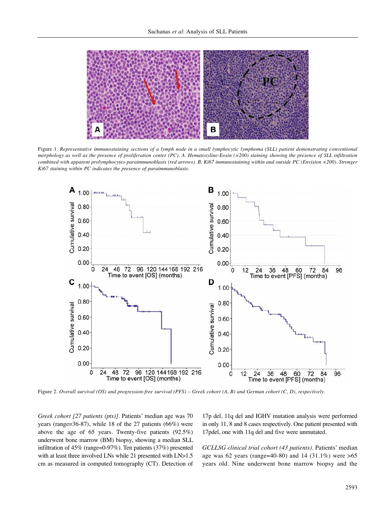

Figure 1. Representative immunostaining sections of a lymph node in a small lymphocytic lymphoma (SLL) patient demonstrating conventional morphology as well as the presence of proliferation center (PC). A. Hematoxyline-Eosin (x200) staining showing the presence of SLL infiltration combined with apparent prolymphocytes-paraimmunoblasts (red arrows), B. Ki67 immunostaining within and outside PC (Envision ×200), Stronger *Ki67 staining within PC indicates the presence of paraimmunoblasts.*



Figure 2. Overall survival (OS) and progression-free survival (PFS) – Greek cohort (A, B) and German cohort (C, D), respectively.

*Greek cohort [27 patients (pts)].* Patients' median age was 70 years (range=36-87), while 18 of the 27 patients (66%) were above the age of 65 years. Twenty-five patients (92.5%) underwent bone marrow (BM) biopsy, showing a median SLL infiltration of 45% (range=0-97%). Ten patients (37%) presented with at least three involved LNs while 21 presented with LN>1.5 cm as measured in computed tomography (CT). Detection of 17p del, 11q del and IGHV mutation analysis were performed in only 11, 8 and 8 cases respectively. One patient presented with 17pdel, one with 11q del and five were unmutated.

*GCLLSG clinical trial cohort (43 patients).* Patients' median age was 62 years (range=40-80) and 14 (31.1%) were >65 years old. Nine underwent bone marrow biopsy and the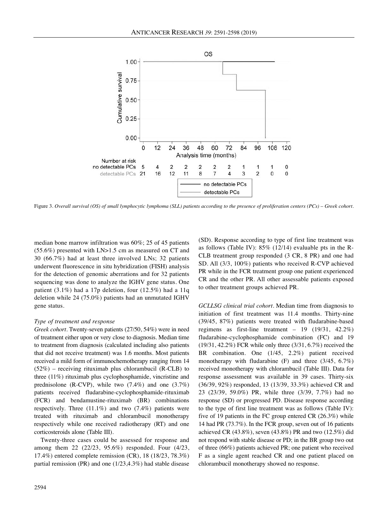

Figure 3. Overall survival (OS) of small lymphocytic lymphoma (SLL) patients according to the presence of proliferation centers (PCs) - Greek cohort.

median bone marrow infiltration was 60%; 25 of 45 patients (55.6%) presented with LN>1.5 cm as measured on CT and 30 (66.7%) had at least three involved LNs; 32 patients underwent fluorescence in situ hybridization (FISH) analysis for the detection of genomic aberrations and for 32 patients sequencing was done to analyze the IGHV gene status. One patient (3.1%) had a 17p deletion, four (12.5%) had a 11q deletion while 24 (75.0%) patients had an unmutated IGHV gene status.

#### *Type of treatment and response*

*Greek cohort.* Twenty-seven patients (27/50, 54%) were in need of treatment either upon or very close to diagnosis. Median time to treatment from diagnosis (calculated including also patients that did not receive treatment) was 1.6 months. Most patients received a mild form of immunochemotherapy ranging from 14 (52%) – receiving rituximab plus chlorambucil (R-CLB) to three (11%) rituximab plus cyclophosphamide, vincristine and prednisolone (R-CVP), while two (7.4%) and one (3.7%) patients received fludarabine-cyclophosphamide-rituximab (FCR) and bendamustine-rituximab (BR) combinations respectively. Three (11.1%) and two (7.4%) patients were treated with rituximab and chlorambucil monotherapy respectively while one received radiotherapy (RT) and one corticosteroids alone (Table III).

Twenty-three cases could be assessed for response and among them 22 (22/23, 95.6%) responded. Four (4/23, 17.4%) entered complete remission (CR), 18 (18/23, 78.3%) partial remission (PR) and one (1/23,4.3%) had stable disease (SD). Response according to type of first line treatment was as follows (Table IV): 85% (12/14) evaluable pts in the R-CLB treatment group responded (3 CR, 8 PR) and one had SD. All (3/3, 100%) patients who received R-CVP achieved PR while in the FCR treatment group one patient experienced CR and the other PR. All other assessable patients exposed to other treatment groups achieved PR.

*GCLLSG clinical trial cohort.* Median time from diagnosis to initiation of first treatment was 11.4 months. Thirty-nine (39/45, 87%) patients were treated with fludarabine-based regimens as first-line treatment – 19 (19/31, 42.2%) fludarabine-cyclophosphamide combination (FC) and 19 (19/31, 42.2%) FCR while only three (3/31, 6.7%) received the BR combination. One (1/45, 2.2%) patient received monotherapy with fludarabine (F) and three (3/45, 6.7%) received monotherapy with chlorambucil (Table III). Data for response assessment was available in 39 cases. Thirty-six (36/39, 92%) responded, 13 (13/39, 33.3%) achieved CR and 23 (23/39, 59.0%) PR, while three (3/39, 7.7%) had no response (SD) or progressed PD. Disease response according to the type of first line treatment was as follows (Table IV): five of 19 patients in the FC group entered CR (26.3%) while 14 had PR (73.7%). In the FCR group, seven out of 16 patients achieved CR (43.8%), seven (43.8%) PR and two (12.5%) did not respond with stable disease or PD; in the BR group two out of three (66%) patients achieved PR; one patient who received F as a single agent reached CR and one patient placed on chlorambucil monotherapy showed no response.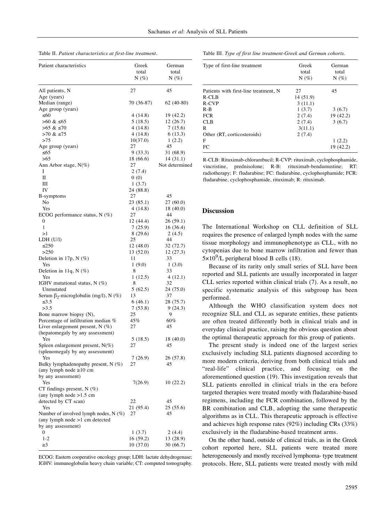Table II. *Patient characteristics at first-line treatment.*

| Patient characteristics                      | Greek          | German         |
|----------------------------------------------|----------------|----------------|
|                                              | total          | total          |
|                                              | $N(\%)$        | $N(\%)$        |
| All patients, N                              | 27             | 45             |
| Age (years)                                  |                |                |
| Median (range)                               | 70 (36-87)     | $62(40-80)$    |
| Age group (years)                            |                |                |
| ≤60                                          | 4(14.8)        | 19 (42.2)      |
| >60 & ≤65                                    | 5(18.5)        | 12 (26.7)      |
| >65 & ≤70                                    | 4(14.8)        | 7 (15.6)       |
| >70 & ≤75                                    | 4(14.8)        | 6 (13.3)       |
| >75                                          | 10(37.0)       | 1(2.2)         |
| Age group (years)                            | 27             | 45             |
| ≤65                                          | 9 (33.3)       | 31 (68.9)      |
| >65                                          | 18 (66.6)      | 14(31.1)       |
| Ann Arbor stage, $N(\%)$<br>I                | 27             | Not determined |
| П                                            | 2(7.4)<br>0(0) |                |
| Ш                                            | 1(3.7)         |                |
| IV                                           | 24 (88.8)      |                |
| B-symptoms                                   | 27             | 45             |
| No                                           | 23 (85.1)      | 27(60.0)       |
| Yes                                          | 4(14.8)        | 18 (40.0)      |
| ECOG performance status, $N$ (%)             | 27             | 44             |
| $\mathbf{0}$                                 | 12 (44.4)      | 26 (59.1)      |
| 1                                            | 7(25.9)        | 16 (36.4)      |
| >1                                           | 8(29.6)        | 2 (4.5)        |
| LDH (U/l)                                    | 25             | 44             |
| $\leq 250$                                   | 12 (48.0)      | 32 (72.7)      |
| >250                                         | 13 (52.0)      | 12 (27.3)      |
| Deletion in 17p, $N$ (%)                     | 11             | 33             |
| Yes                                          | 1(9.0)         | 1(3.0)         |
| Deletion in 11q, N (%)                       | 8              | 33             |
| Yes<br>IGHV mutational status, $N$ (%)       | 1(12.5)<br>8   | 4(12.1)<br>32  |
| Unmutated                                    | 5(62.5)        | 24 (75.0)      |
| Serum $\beta_2$ -microglobulin (mg/l), N (%) | 13             | 37             |
| $\leq 3.5$                                   | 6(46.1)        | 28 (75.7)      |
| >3.5                                         | 7(53.8)        | 9 (24.3)       |
| Bone marrow biopsy (N),                      | 25             | 9              |
| Percentage of infiltration median %          | 45%            | 60%            |
| Liver enlargement present, $N$ (%)           | 27             | 45             |
| (hepatomegaly by any assessment)             |                |                |
| Yes                                          | 5 (18.5)       | 18 (40.0)      |
| Spleen enlargement present, $N(\%)$          | 27             | 45             |
| (splenomegaly by any assessment)             |                |                |
| Yes                                          | 7(26.9)        | 26 (57.8)      |
| Bulky lymphadenopathy present, $N$ (%)       | 27             | 45             |
| (any lymph node ≥10 cm                       |                |                |
| by any assessment)<br>Yes                    | 7(26.9)        | 10(22.2)       |
| CT findings present, N (%)                   |                |                |
| (any lymph node $>1.5$ cm                    |                |                |
| detected by CT scan)                         | 22             | 45             |
| Yes                                          | 21 (95.4)      | 25 (55.6)      |
| Number of involved lymph nodes, $N$ (%)      | 27             | 45             |
| (any lymph node >1 cm detected               |                |                |
| by any assessment)                           |                |                |
| 0                                            | 1 (3.7)        | 2 (4.4)        |
| $1 - 2$                                      | 16 (59.2)      | 13 (28.9)      |
| ≥3                                           | 10 (37.0)      | 30 (66.7)      |

ECOG: Eastern cooperative oncology group; LDH: lactate dehydrogenase; IGHV: immunoglobulin heavy chain variable; CT: computed tomography.

Table III. *Type of first line treatment-Greek and German cohorts.*

| Type of first-line treatment          | Greek<br>total<br>$N(\%)$ | German<br>total<br>$N(\%)$ |
|---------------------------------------|---------------------------|----------------------------|
| Patients with first-line treatment, N | 27                        | 45                         |
| R-CLB                                 | 14 (51.9)                 |                            |
| R-CVP                                 | 3(11.1)                   |                            |
| $R - B$                               | 1(3.7)                    | 3(6.7)                     |
| <b>FCR</b>                            | 2(7.4)                    | 19 (42.2)                  |
| CLB                                   | 2(7.4)                    | 3(6.7)                     |
| R                                     | 3(11.1)                   |                            |
| Other (RT, corticosteroids)           | 2(7.4)                    |                            |
| F                                     |                           | 1(2.2)                     |
| FC                                    |                           | 19 (42.2)                  |

R-CLB: Rituximab-chlorambucil; R-CVP: rituximab, cyclophosphamide, vincristine, prednisolone; R-B: rituximab-bendamustine; RT: radiotherapy; F: fludarabine; FC: fludarabine, cyclophosphamide; FCR: fludarabine, cyclophosphamide, rituximab; R: rituximab.

# **Discussion**

The International Workshop on CLL definition of SLL requires the presence of enlarged lymph nodes with the same tissue morphology and immunophenotype as CLL, with no cytopenias due to bone marrow infiltration and fewer than  $5 \times 10^9$ /L peripheral blood B cells (18).

Because of its rarity only small series of SLL have been reported and SLL patients are usually incorporated in larger CLL series reported within clinical trials (7). As a result, no specific systematic analysis of this subgroup has been performed.

Although the WHO classification system does not recognize SLL and CLL as separate entities, these patients are often treated differently both in clinical trials and in everyday clinical practice, raising the obvious question about the optimal therapeutic approach for this group of patients.

The present study is indeed one of the largest series exclusively including SLL patients diagnosed according to more modern criteria, deriving from both clinical trials and "real-life" clinical practice, and focusing on the aforementioned question (19). This investigation reveals that SLL patients enrolled in clinical trials in the era before targeted therapies were treated mostly with fludarabine-based regimens, including the FCR combination, followed by the BR combination and CLB, adopting the same therapeutic algorithms as in CLL. This therapeutic approach is effective and achieves high response rates (92%) including CRs (33%) exclusively in the fludarabine-based treatment arms.

On the other hand, outside of clinical trials, as in the Greek cohort reported here, SLL patients were treated more heterogeneously and mostly received lymphoma- type treatment protocols. Here, SLL patients were treated mostly with mild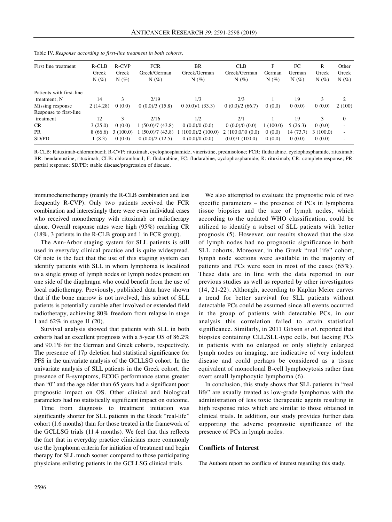| First line treatment     | R-CLB<br>Greek<br>$N(\%)$ | R-CVP<br>Greek<br>$N(\%)$ | <b>FCR</b><br>Greek/German<br>$N(\%)$ | <b>BR</b><br>Greek/German<br>$N(\%)$ | <b>CLB</b><br>Greek/German<br>$N(\%)$ | F<br>German<br>$N(\%)$ | FC<br>German<br>$N(\%)$ | R<br>Greek<br>$N(\%)$ | Other<br>Greek<br>$N(\%)$ |
|--------------------------|---------------------------|---------------------------|---------------------------------------|--------------------------------------|---------------------------------------|------------------------|-------------------------|-----------------------|---------------------------|
| Patients with first-line |                           |                           |                                       |                                      |                                       |                        |                         |                       |                           |
| treatment, N             | 14                        | 3                         | 2/19                                  | 1/3                                  | 2/3                                   |                        | 19                      | 3                     | 2                         |
| Missing response         | 2(14.28)                  | 0(0.0)                    | 0(0.0)/3(15.8)                        | 0(0.0)/1(33.3)                       | 0(0.0)/2(66.7)                        | 0(0.0)                 | 0(0.0)                  | 0(0.0)                | 2(100)                    |
| Response to first-line   |                           |                           |                                       |                                      |                                       |                        |                         |                       |                           |
| treatment                | 12                        | 3                         | 2/16                                  | 1/2                                  | 2/1                                   |                        | 19                      | $\mathbf{3}$          | $\Omega$                  |
| CR.                      | 3(25.0)                   | 0(0.0)                    | 1(50.0)/7(43.8)                       | 0(0.0)/0(0.0)                        | 0(0.0)/0(0.0)                         | (100.0)                | 5(26.3)                 | 0(0.0)                | ٠                         |
| PR                       | 8 (66.6)                  | 3(100.0)                  | 1(50.0)/7(43.8)                       | (100.0)/2(100.0)                     | 2(100.0/00(0.0))                      | 0(0.0)                 | 14 (73.7)               | 3(100.0)              | $\overline{\phantom{a}}$  |
| SD/PD                    | 1(8.3)                    | 0(0.0)                    | 0(0.0)/2(12.5)                        | 0(0.0)/0(0.0)                        | $(0.0)/1$ (100.0)                     | 0(0.0)                 | 0(0.0)                  | 0(0.0)                | $\overline{\phantom{a}}$  |

| Table IV. Response according to first-line treatment in both cohorts. |  |  |  |  |  |
|-----------------------------------------------------------------------|--|--|--|--|--|
|-----------------------------------------------------------------------|--|--|--|--|--|

R-CLB: Rituximab-chlorambucil; R-CVP: rituximab, cyclophosphamide, vincristine, prednisolone; FCR: fludarabine, cyclophosphamide, rituximab; BR: bendamustine, rituximab; CLB: chlorambucil; F: fludarabine; FC: fludarabine, cyclophosphamide; R: rituximab; CR: complete response; PR: partial response; SD/PD: stable disease/progression of disease.

immunochemotherapy (mainly the R-CLB combination and less frequently R-CVP). Only two patients received the FCR combination and interestingly there were even individual cases who received monotherapy with rituximab or radiotherapy alone. Overall response rates were high (95%) reaching CR (18%, 3 patients in the R-CLB group and 1 in FCR group).

The Ann-Arbor staging system for SLL patients is still used in everyday clinical practice and is quite widespread. Of note is the fact that the use of this staging system can identify patients with SLL in whom lymphoma is localized to a single group of lymph nodes or lymph nodes present on one side of the diaphragm who could benefit from the use of local radiotherapy. Previously, published data have shown that if the bone marrow is not involved, this subset of SLL patients is potentially curable after involved or extended field radiotherapy, achieving 80% freedom from relapse in stage Ι and 62% in stage ΙΙ (20).

Survival analysis showed that patients with SLL in both cohorts had an excellent prognosis with a 5-year OS of 86.2% and 90.1% for the German and Greek cohorts, respectively. The presence of 17p deletion had statistical significance for PFS in the univariate analysis of the GCLLSG cohort. In the univariate analysis of SLL patients in the Greek cohort, the presence of B-symptoms, ECOG performance status greater than "0" and the age older than 65 years had a significant poor prognostic impact on OS. Other clinical and biological parameters had no statistically significant impact on outcome.

Time from diagnosis to treatment initiation was significantly shorter for SLL patients in the Greek "real-life" cohort (1.6 months) than for those treated in the framework of the GCLLSG trials (11.4 months). We feel that this reflects the fact that in everyday practice clinicians more commonly use the lymphoma criteria for initiation of treatment and begin therapy for SLL much sooner compared to those participating physicians enlisting patients in the GCLLSG clinical trials.

We also attempted to evaluate the prognostic role of two specific parameters – the presence of PCs in lymphoma tissue biopsies and the size of lymph nodes, which according to the updated WHO classification, could be utilized to identify a subset of SLL patients with better prognosis (5). However, our results showed that the size of lymph nodes had no prognostic significance in both SLL cohorts. Moreover, in the Greek "real life" cohort, lymph node sections were available in the majority of patients and PCs were seen in most of the cases (65%). These data are in line with the data reported in our previous studies as well as reported by other investigators (14, 21-22). Although, according to Kaplan Meier curves a trend for better survival for SLL patients without detectable PCs could be assumed since all events occurred in the group of patients with detectable PCs, in our analysis this correlation failed to attain statistical significance. Similarly, in 2011 Gibson *et al.* reported that biopsies containing CLL/SLL-type cells, but lacking PCs in patients with no enlarged or only slightly enlarged lymph nodes on imaging, are indicative of very indolent disease and could perhaps be considered as a tissue equivalent of monoclonal B-cell lymphocytosis rather than overt small lymphocytic lymphoma (6).

In conclusion, this study shows that SLL patients in "real life" are usually treated as low-grade lymphomas with the administration of less toxic therapeutic agents resulting in high response rates which are similar to those obtained in clinical trials. In addition, our study provides further data supporting the adverse prognostic significance of the presence of PCs in lymph nodes.

## **Conflicts of Interest**

The Authors report no conflicts of interest regarding this study.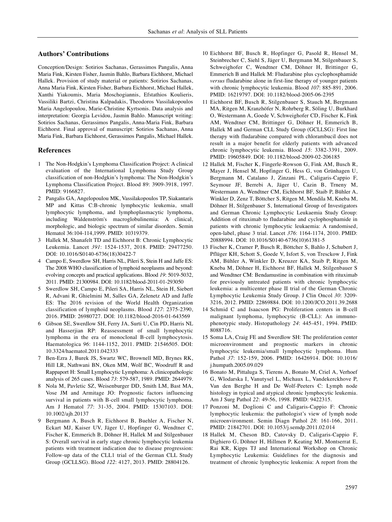## **Authors' Contributions**

Conception/Design: Sotirios Sachanas, Gerassimos Pangalis, Anna Maria Fink, Kirsten Fisher, Jasmin Bahlo, Barbara Eichhorst, Michael Hallek. Provision of study material or patients: Sotirios Sachanas, Anna Maria Fink, Kirsten Fisher, Barbara Eichhorst, Michael Hallek, Xanthi Yiakoumis, Maria Moschogiannis, Efstathios Koulieris, Vassiliki Bartzi, Christina Kalpadakis, Theodoros Vassilakopoulos Maria Angelopoulou, Marie-Christine Kyrtsonis. Data analysis and interpretation: Georgia Levidou, Jasmin Bahlo. Manuscript writing: Sotirios Sachanas, Gerassimos Pangalis, Anna-Maria Fink, Barbara Eichhorst. Final approval of manuscript: Sotirios Sachanas, Anna Maria Fink, Barbara Eichhorst, Gerassimos Pangalis, Michael Hallek.

#### **References**

- 1 The Non-Hodgkin's Lymphoma Classification Project: A clinical evaluation of the International Lymphoma Study Group classification of non-Hodgkin's lymphoma: The Non-Hodgkin's Lymphoma Classification Project. Blood 89: 3909-3918, 1997. PMID: 9166827.
- 2 Pangalis GA, Angelopoulou MK, Vassilakopoulos TP, Siakantaris MP and Kittas C:B-chronic lymphocytic leukemia, small lymphocytic lymphoma, and lymphoplasmacytic lymphoma, including Waldenström's macroglobulinemia: A clinical, morphologic, and biologic spectrum of similar disorders. Semin Hematol 36:104-114,1999. PMID: 10319379.
- 3 Hallek M, Shanafelt TD and Eichhorst B: Chronic Lymphocytic Leukemia. Lancet *391*: 1524-1537, 2018. PMID: 29477250. DOI: 10.1016/S0140-6736(18)30422-7
- 4 Campo E, Swerdlow SH, Harris NL, Pileri S, Stein H and Jaffe ES: The 2008 WHO classification of lymphoid neoplasms and beyond: evolving concepts and practical applications. Blood *19*: 5019-5032, 2011. PMID: 21300984. DOI: 10.1182/blood-2011-01-293050
- 5 Swerdlow SH, Campo E, Pileri SA, Harris NL, Stein H, Siebert R, Advani R, Ghielmini M, Salles GA, Zelenetz AD and Jaffe ES: The 2016 revision of the World Health Organization classification of lymphoid neoplasms. Blood *127*: 2375-2390, 2016. PMID: 26980727. DOI: 10.1182/blood-2016-01-643569
- 6 Gibson SE, Swerdlow SH, Ferry JA, Surti U, Cin PD, Harris NL and Hasserjian RP: Reassessment of small lymphocytic lymphoma in the era of monoclonal B-cell lymphocytosis. Haematologica *96*: 1144-1152, 2011. PMID: 21546505. DOI: 10.3324/haematol.2011.042333
- 7 Ben-Ezra J, Burek JS, Swartz WC, Brownell MD, Brynes RK, Hill LR, Nathwani BN, Oken MM, Wolf BC, Woodruff R and Rappaport H: Small Lymphocytic Lymphoma: A clinicopathologic analysis of 265 cases. Blood *73*: 579-587, 1989. PMID: 2644979.
- 8 Nola M, Pavletic SZ, Weisenburger DD, Smith LM, Bast MA, Vose JM and Armitage JO: Prognostic factors influencing survival in patients with B-cell small lymphocytic lymphoma. Am J Hematol *77*: 31-35, 2004. PMID: 15307103. DOI: 10.1002/ajh.20137
- 9 Bergmann A, Busch R, Eichhorst B, Buehler A, Fischer N, Eckart MJ, Kaiser UV, Jäger U, Hopfinger G, Wendtner C, Fischer K, Emmerich B, Döhner H, Hallek M and Stilgenbauer S: Overall survival in early stage chronic lymphocytic leukemia patients with treatment indication due to disease progression: Follow-up data of the CLL1 trial of the German CLL Study Group (GCLLSG). Blood *122*: 4127, 2013. PMID: 28804126.
- 10 Eichhorst BF, Busch R, Hopfinger G, Pasold R, Hensel M, Steinbrecher C, Siehl S, Jäger U, Bergmann M, Stilgenbauer S, Schweighofer C, Wendtner CM, Döhner H, Brittinger G, Emmerich B and Hallek M: Fludarabine plus cyclophosphamide *versus* fludarabine alone in first-line therapy of younger patients with chronic lymphocytic leukemia. Blood *107*: 885-891, 2006. PMID: 16219797. DOI: 10.1182/blood-2005-06-2395
- 11 Eichhorst BF, Busch R, Stilgenbauer S, Stauch M, Bergmann MA, Ritgen M, Kranzhöfer N, Rohrberg R, Söling U, Burkhard O, Westermann A, Goede V, Schweighofer CD, Fischer K, Fink AM, Wendtner CM, Brittinger G, Döhner H, Emmerich B, Hallek M and German CLL Study Group (GCLLSG): First line therapy with fludarabine compared with chlorambucil does not result in a major benefit for elderly patients with advanced chronic lymphocytic leukemia. Blood *15*: 3382-3391, 2009. PMID: 19605849. DOI: 10.1182/blood-2009-02-206185
- 12 Hallek M, Fischer K, Fingerle-Rowson G, Fink AM, Busch R, Mayer J, Hensel M, Hopfinger G, Hess G, von Grünhagen U, Bergmann M, Catalano J, Zinzani PL, Caligaris-Cappio F, Seymour JF, Berrebi A, Jäger U, Cazin B, Trneny M, Westermann A, Wendtner CM, Eichhorst BF, Staib P, Bühler A, Winkler D, Zenz T, Böttcher S, Ritgen M, Mendila M, Kneba M, Döhner H, Stilgenbauer S, International Group of Investigators and German Chronic Lymphocytic Leukaemia Study Group: Addition of rituximab to fludarabine and cyclophosphamide in patients with chronic lymphocytic leukaemia: A randomised, open-label, phase 3 trial. Lancet *376*: 1164-1174, 2010. PMID: 20888994. DOI: 10.1016/S0140-6736(10)61381-5
- 13 Fischer K, Cramer P, Busch R, Böttcher S, Bahlo J, Schubert J, Pflüger KH, Schott S, Goede V, Isfort S, von Tresckow J, Fink AM, Bühler A, Winkler D, Kreuzer KA, Staib P, Ritgen M, Kneba M, Döhner H, Eichhorst BF, Hallek M, Stilgenbauer S and Wendtner CM: Bendamustine in combination with rituximab for previously untreated patients with chronic lymphocytic leukemia: a multicenter phase II trial of the German Chronic Lymphocytic Leukemia Study Group. J Clin Oncol *30*: 3209- 3216, 2012. PMID: 22869884. DOI: 10.1200/JCO.2011.39.2688
- 14 Schmid C and Isaacson PG: Proliferation centers in B-cell malignant lymphoma, lymphocytic (B-CLL): An immunophenotypic study. Histopathology *24*: 445-451, 1994. PMID: 8088716.
- 15 Soma LA, Craig FE and Swerdlow SH: The proliferation center microenvironment and prognostic markers in chronic lymphocytic leukemia/small lymphocytic lymphoma. Hum Pathol *37*: 152-159, 2006. PMID: 16426914. DOI: 10.1016/ j.humpath.2005.09.029
- 16 Bonato M, Pittaluga S, Tierens A, Bonato M, Criel A, Verhoef G, Wlodarska I, Vanutysel L, Michaux L, Vandekerckhove P, Van den Berghe H and De Wolf-Peeters C: Lymph node histology in typical and atypical chronic lymphocytic leukemia. Am J Surg Pathol *22*: 49-56, 1998. PMID: 9422315.
- 17 Ponzoni M, Doglioni C and Caligaris-Cappio F: Chronic lymphocytic leukemia: the pathologist's view of lymph node microenvironment. Semin Diagn Pathol *28*: 161-166, 2011. PMID: 21842701. DOI: 10.1053/j.semdp.2011.02.014
- 18 Hallek M, Cheson BD, Catovsky D, Caligaris-Cappio F, Dighiero G, Döhner H, Hillmen P, Keating MJ, Montserrat E, Rai KR, Kipps TJ and International Workshop on Chronic Lymphocytic Leukemia: Guidelines for the diagnosis and treatment of chronic lymphocytic leukemia: A report from the